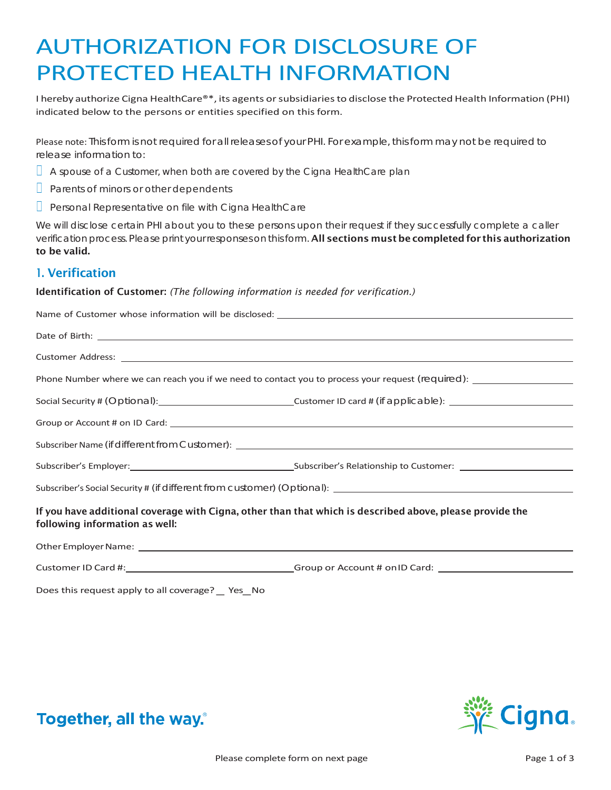# AUTHORIZATION FOR DISCLOSURE OF PROTECTED HEALTH INFORMATION

I hereby authorize Cigna HealthCare®\*, its agents or subsidiaries to disclose the Protected Health Information (PHI) indicated below to the persons or entities specified on this form.

Please note: Thisform is not required for all releases of your PHI. For example, this form may not be required to release information to:

- $\Box$  A spouse of a Customer, when both are covered by the Cigna HealthCare plan
- $\Box$  Parents of minors or other dependents
- $\Box$  Personal Representative on file with Cigna HealthCare

We will disclose certain PHI about you to these persons upon their request if they successfully complete a caller verification process. Please print your responses on this form. All sections must be completed for this authorization to be valid.

## 1. Verification

#### Identification of Customer: *(The following information is needed for verification.)*

| Date of Birth: <u>example and the set of Birth:</u> and the set of Birth: example and the set of Birth: example and the set of Birth: example and the set of Birth: example and the set of $\sim$ 100 $\mu$ m and the set of $\mu$ m an |                                                                                                                |  |
|-----------------------------------------------------------------------------------------------------------------------------------------------------------------------------------------------------------------------------------------|----------------------------------------------------------------------------------------------------------------|--|
|                                                                                                                                                                                                                                         |                                                                                                                |  |
|                                                                                                                                                                                                                                         |                                                                                                                |  |
|                                                                                                                                                                                                                                         |                                                                                                                |  |
|                                                                                                                                                                                                                                         |                                                                                                                |  |
|                                                                                                                                                                                                                                         |                                                                                                                |  |
|                                                                                                                                                                                                                                         |                                                                                                                |  |
|                                                                                                                                                                                                                                         |                                                                                                                |  |
| If you have additional coverage with Cigna, other than that which is described above, please provide the<br>following information as well:                                                                                              |                                                                                                                |  |
|                                                                                                                                                                                                                                         |                                                                                                                |  |
|                                                                                                                                                                                                                                         | Customer ID Card #: _________________________________Group or Account # onID Card: ___________________________ |  |
| Does this request apply to all coverage? _ Yes_No                                                                                                                                                                                       |                                                                                                                |  |



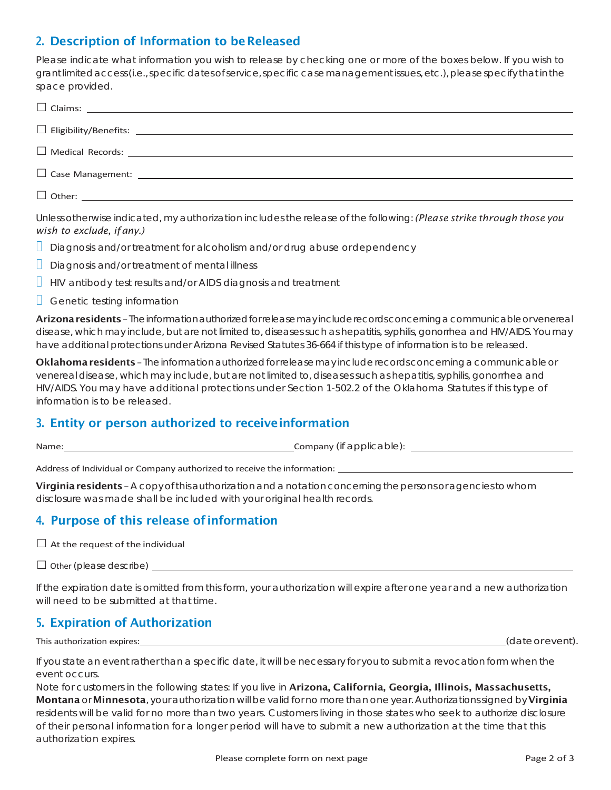# 2. Description of Information to beReleased

Please indicate what information you wish to release by checking one or more of the boxes below. If you wish to grantlimitedaccess(i.e.,specificdatesofservice,specificcasemanagementissues,etc.),pleasespecifythatinthe space provided.

| $\Box$ Case Management: $\Box$ |  |
|--------------------------------|--|
|                                |  |

Unless otherwise indicated, my authorization includes the release of the following: *(Please strike through those you wish to exclude, ifany.)*

- $\Box$  Diagnosis and/or treatment for alcoholism and/or drug abuse ordependency
- $\Box$  Diagnosis and/or treatment of mental illness
- $\Box$  HIV antibody test results and/or AIDS diagnosis and treatment
- $\Box$  Genetic testing information

Arizona residents - The information authorized for release may include records concerning a communicable or venereal disease, which may include, but are not limited to, diseases such as hepatitis, syphilis, gonorrhea and HIV/AIDS. You may have additional protections under Arizona Revised Statutes 36-664 if this type of information is to be released.

Oklahoma residents-The information authorized for release may include records concerning a communicable or venereal disease, which may include, but are not limited to, diseasessuch as hepatitis,syphilis, gonorrhea and HIV/AIDS. You may have additional protections under Section 1-502.2 of the Oklahoma Statutes if this type of information is to be released.

## 3. Entity or person authorized to receiveinformation

Name: Company (if applicable): Company (if applicable):

Address of Individual or Company authorized to receive the information:

Virginia residents – A copy of this authorization and a notation concerning the persons or agencies to whom disclosure was made shall be included with your original health records.

# 4. Purpose of this release of information

 $\Box$  At the request of the individual

 $\Box$  Other (please describe)  $\Box$ 

If the expiration date is omitted from this form, your authorization will expire after one year and a new authorization will need to be submitted at that time.

# 5. Expiration of Authorization

This authorization expires: (date or event). This authorization expires: (in the second second second second second second second second second second second second second second second second second second second second s

If you state an event rather than a specific date, it will be necessary for you to submit a revocation form when the event occurs.

Note for customers in the following states: If you live in Arizona, California, Georgia, Illinois, Massachusetts, Montana or Minnesota, your authorization will be valid for no more than one year. Authorizations signed by Virginia residents will be valid for no more than two years. Customers living in those states who seek to authorize disclosure of their personal information for a longer period will have to submit a new authorization at the time that this authorization expires.